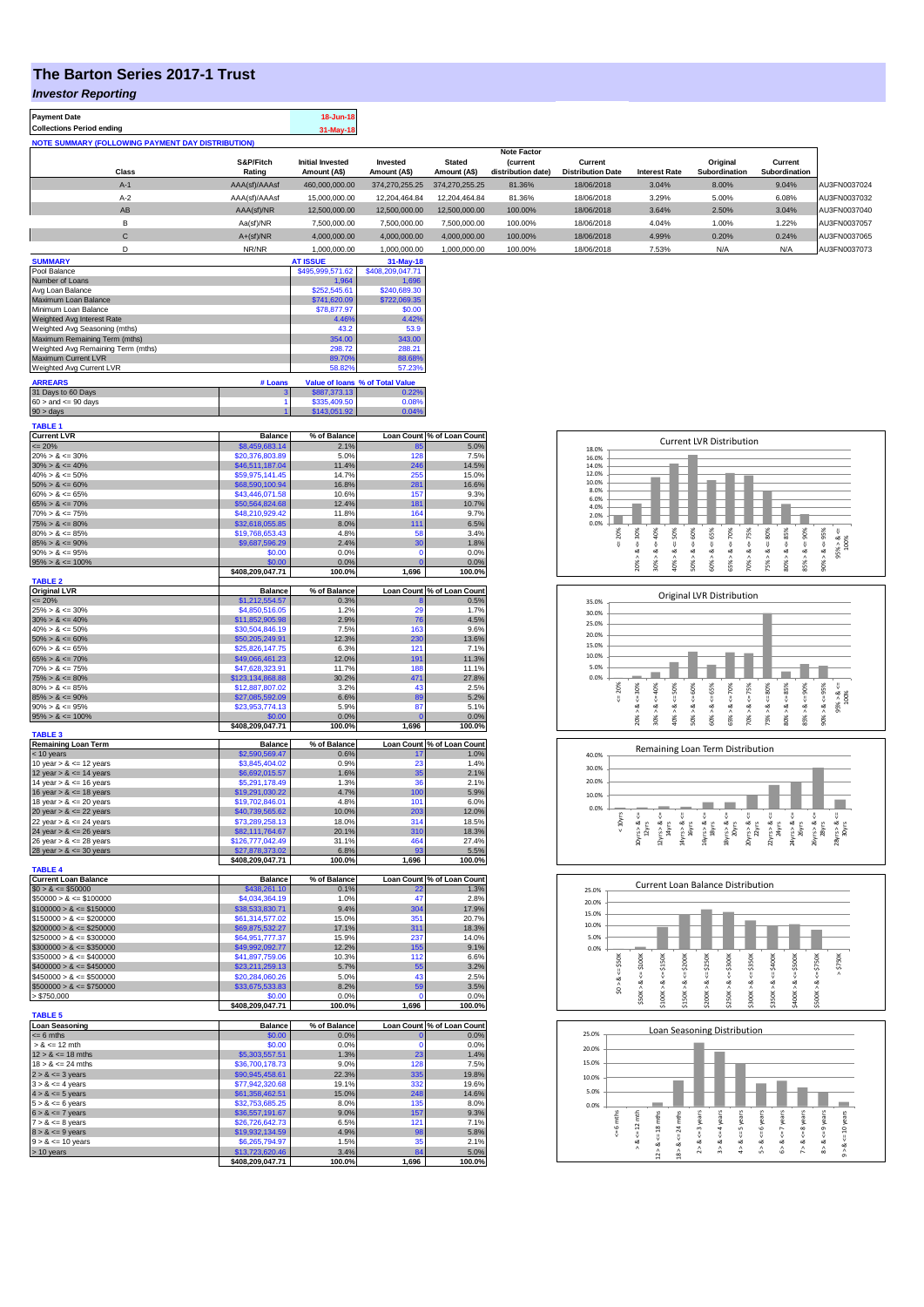## **The Barton Series 2017-1 Trust**

*Investor Reporting*

| <b>Payment Date</b>              |                                                          |               | 18-Jun-18               |                  |                |                    |                          |                      |                      |               |              |
|----------------------------------|----------------------------------------------------------|---------------|-------------------------|------------------|----------------|--------------------|--------------------------|----------------------|----------------------|---------------|--------------|
| <b>Collections Period ending</b> |                                                          |               | 31-May-18               |                  |                |                    |                          |                      |                      |               |              |
|                                  | <b>NOTE SUMMARY (FOLLOWING PAYMENT DAY DISTRIBUTION)</b> |               |                         |                  |                |                    |                          |                      |                      |               |              |
|                                  |                                                          |               |                         |                  |                | <b>Note Factor</b> |                          |                      |                      |               |              |
|                                  |                                                          | S&P/Fitch     | <b>Initial Invested</b> | Invested         | <b>Stated</b>  | (current           | Current                  |                      | Original             | Current       |              |
|                                  | Class                                                    | Rating        | Amount (A\$)            | Amount (A\$)     | Amount (A\$)   | distribution date) | <b>Distribution Date</b> | <b>Interest Rate</b> | <b>Subordination</b> | Subordination |              |
|                                  | $A-1$                                                    | AAA(sf)/AAAsf | 460,000,000.00          | 374,270,255.25   | 374,270,255.25 | 81.36%             | 18/06/2018               | 3.04%                | 8.00%                | 9.04%         | AU3FN0037024 |
|                                  | $A-2$                                                    | AAA(sf)/AAAsf | 15,000,000.00           | 12,204,464.84    | 12,204,464.84  | 81.36%             | 18/06/2018               | 3.29%                | 5.00%                | 6.08%         | AU3FN0037032 |
|                                  | AB                                                       | AAA(sf)/NR    | 12,500,000.00           | 12,500,000.00    | 12,500,000.00  | 100.00%            | 18/06/2018               | 3.64%                | 2.50%                | 3.04%         | AU3FN0037040 |
|                                  | B                                                        | Aa(sf)/NR     | 7,500,000.00            | 7,500,000.00     | 7,500,000.00   | 100.00%            | 18/06/2018               | 4.04%                | 1.00%                | 1.22%         | AU3FN0037057 |
|                                  | $\mathbf C$                                              | $A+(sf)/NR$   | 4,000,000.00            | 4,000,000.00     | 4,000,000.00   | 100.00%            | 18/06/2018               | 4.99%                | 0.20%                | 0.24%         | AU3FN0037065 |
|                                  | D                                                        | NR/NR         | 1.000.000.00            | 1.000.000.00     | 1.000.000.00   | 100.00%            | 18/06/2018               | 7.53%                | N/A                  | N/A           | AU3FN0037073 |
| <b>SUMMARY</b>                   |                                                          |               | <b>AT ISSUE</b>         | $31-May-18$      |                |                    |                          |                      |                      |               |              |
| Pool Balance                     |                                                          |               | \$495,999,571.62        | \$408,209,047.71 |                |                    |                          |                      |                      |               |              |
| Number of Loans                  |                                                          |               | 1,964                   | 1,696            |                |                    |                          |                      |                      |               |              |
| Avg Loan Balance                 |                                                          |               | \$252,545.61            | \$240,689.30     |                |                    |                          |                      |                      |               |              |
| Maximum Loan Balance             |                                                          |               | \$741,620.09            | \$722,069.35     |                |                    |                          |                      |                      |               |              |

| Maximum Loan Balance               |         | \$741,620.09 | \$722,069.35                    |
|------------------------------------|---------|--------------|---------------------------------|
| Minimum Loan Balance               |         | \$78,877.97  | \$0.00                          |
| Weighted Avg Interest Rate         |         | 4.46%        | 4.42%                           |
| Weighted Avg Seasoning (mths)      | 43.2    | 53.9         |                                 |
| Maximum Remaining Term (mths)      | 354.00  | 343.00       |                                 |
| Weighted Avg Remaining Term (mths) | 298.72  | 288.21       |                                 |
| <b>Maximum Current LVR</b>         |         | 89.70%       | 88.68%                          |
| Weighted Avg Current LVR           |         | 58.82%       | 57.23%                          |
| <b>ARREARS</b>                     | # Loans |              | Value of Ioans % of Total Value |
| 31 Days to 60 Days                 |         | \$887,373.13 | 0.22%                           |
| $60 >$ and $\leq 90$ days          |         | \$335,409.50 | 0.08%                           |
| $90 >$ days                        |         | \$143,051.92 | 0.04%                           |

| Current LVR<br>$\leq$ 20%<br>20% > & $\leq$ 30%<br>30% > & $\leq$ 40%<br>40% > & $\leq$ 50%                                                                                                              | <b>Balance</b>                      | % of Balance   |                   | Loan Count % of Loan Count |
|----------------------------------------------------------------------------------------------------------------------------------------------------------------------------------------------------------|-------------------------------------|----------------|-------------------|----------------------------|
|                                                                                                                                                                                                          | \$8,459,683.14                      | 2.1%           | 85                | 5.0%                       |
|                                                                                                                                                                                                          | \$20,376,803.89                     | 5.0%           | 128               | 7.5%                       |
|                                                                                                                                                                                                          | \$46,511,187.04                     | 11.4%          | 246               | 14.5%                      |
|                                                                                                                                                                                                          | \$59,975,141.45                     | 14.7%          | 255               | 15.0%                      |
| $50\% > 8 \le 60\%$                                                                                                                                                                                      | \$68,590,100.94                     | 16.8%          | 281               | 16.6%                      |
| $60\% > 8 \le 65\%$                                                                                                                                                                                      | \$43,446,071.58                     | 10.6%          | 157               | 9.3%                       |
| $65\% > 8 \le 70\%$                                                                                                                                                                                      | \$50,564,824,68                     | 12.4%          | 181               | 10.7%                      |
| $70\% > 8 \le 75\%$                                                                                                                                                                                      | \$48,210,929.42                     | 11.8%          | 164               | 9.7%                       |
| $75\% > 8 \le 80\%$                                                                                                                                                                                      | \$32,618,055.85                     | 8.0%           | 111               | 6.5%                       |
| $80\% > 8 \le 85\%$                                                                                                                                                                                      | \$19,768,653.43                     | 4.8%           | 58                | 3.4%                       |
| $85\% > 8 \le 90\%$                                                                                                                                                                                      | \$9,687,596.29                      | 2.4%           | 30                | 1.8%                       |
| $90\% > 8 \le 95\%$                                                                                                                                                                                      | \$0.00                              | 0.0%           | $\Omega$          | 0.0%                       |
| $95\% > 8 \le 100\%$                                                                                                                                                                                     | \$0.00                              | 0.0%           | O                 | 0.0%                       |
|                                                                                                                                                                                                          | \$408,209,047.71                    | 100.0%         | 1,696             | 100.0%                     |
| <b>TABLE 2</b>                                                                                                                                                                                           |                                     |                |                   |                            |
| contract LVR<br>$\leq$ 20%<br>25% > & $\leq$ 30%<br>30% > & $\leq$ 40%<br>40% > & $\leq$ 50%                                                                                                             | <b>Balance</b>                      | % of Balance   |                   | Loan Count % of Loan Count |
|                                                                                                                                                                                                          | \$1,212,554.57                      | 0.3%           |                   | 0.5%                       |
|                                                                                                                                                                                                          | \$4,850,516.05                      | 1.2%           | 29                | 1.7%                       |
|                                                                                                                                                                                                          | \$11,852,905.98                     | 2.9%           | 76                | 4.5%                       |
|                                                                                                                                                                                                          | \$30,504,846.19                     | 7.5%           | 163               | 9.6%                       |
| $50\% > 8 \le 60\%$                                                                                                                                                                                      | \$50,205,249.91                     | 12.3%          | 230               | 13.6%                      |
| $60\% > 8 \le 65\%$                                                                                                                                                                                      | \$25,826,147.75                     | 6.3%           | 121               | 7.1%                       |
| $65\% > 8 \le 70\%$                                                                                                                                                                                      | \$49,066,461.23                     | 12.0%          | 191               | 11.3%                      |
| $70\% > 8 \le 75\%$                                                                                                                                                                                      | \$47.628.323.91                     | 11.7%          | 188               | 11.1%                      |
| $75\% > 8 \le 80\%$                                                                                                                                                                                      | \$123,134,868.88                    | 30.2%          | 471               | 27.8%                      |
| $80\% > 8 \le 85\%$                                                                                                                                                                                      | \$12,887,807.02                     | 3.2%           | 43                | 2.5%                       |
| $85\% > 8 \le 90\%$                                                                                                                                                                                      | \$27,085,592.09                     | 6.6%           | 89                | 5.2%                       |
| $90\% > 8 \le 95\%$                                                                                                                                                                                      | \$23,953,774.13                     | 5.9%           | 87                | 5.1%                       |
| $95\% > 8 \le 100\%$                                                                                                                                                                                     | \$0.00                              | 0.0%           | O                 | 0.0%                       |
|                                                                                                                                                                                                          | \$408,209,047.71                    | 100.0%         | 1,696             | 100.0%                     |
| <b>TABLE 3</b>                                                                                                                                                                                           |                                     |                |                   |                            |
| Remaining Loan Term<br>$\le$ 10 years<br>10 year > & $\lt$ = 12 years                                                                                                                                    | <b>Balance</b>                      | % of Balance   |                   | Loan Count % of Loan Count |
|                                                                                                                                                                                                          | \$2,590,569.47                      | 0.6%           | 17                | 1.0%                       |
|                                                                                                                                                                                                          | \$3,845,404.02                      | 0.9%           | 23                | 1.4%                       |
| 12 year $> 8 \le 14$ years                                                                                                                                                                               | \$6,692,015.57                      | 1.6%           | 35                | 2.1%                       |
| 14 year $> 8 \le 16$ years                                                                                                                                                                               | \$5,291,178.49                      | 1.3%           | 36                | 2.1%                       |
| 16 year $> 8 \le 18$ years                                                                                                                                                                               | \$19,291,030.22                     | 4.7%           | 100               | 5.9%                       |
| 18 year $> 8 \le 20$ years                                                                                                                                                                               | \$19,702,846.01                     | 4.8%           | 101               | 6.0%                       |
| 20 year $> 8 \le 22$ years                                                                                                                                                                               | \$40,739,565.62                     | 10.0%          | 203               | 12.0%                      |
| 22 year $> 8 \le 24$ years                                                                                                                                                                               | \$73,289,258.13                     | 18.0%          | 314               | 18.5%                      |
| 24 year $> 8 \le 26$ years                                                                                                                                                                               | \$82,111,764.67                     | 20.1%          | 310               | 18.3%                      |
| 26 year $> 8 \le 28$ years                                                                                                                                                                               | \$126,777,042.49                    | 31.1%          | 464               |                            |
| 28 year $> 8 \le 30$ years                                                                                                                                                                               |                                     |                |                   | 27.4%                      |
|                                                                                                                                                                                                          | <u>\$27,878,373.02</u>              | 6.8%           | 93                | 5.5%                       |
|                                                                                                                                                                                                          | \$408,209,047.71                    | 100.0%         | 1,696             | 100.0%                     |
| <b>TABLE 4</b>                                                                                                                                                                                           |                                     |                |                   |                            |
|                                                                                                                                                                                                          | <b>Balance</b>                      | % of Balance   | <b>Loan Count</b> | % of Loan Count            |
|                                                                                                                                                                                                          | \$438,261.10                        | 0.1%           |                   | 1.3%                       |
| Current Loan Balance<br>$$0 > 8 \leq $50000$                                                                                                                                                             | \$4,034,364.19                      | 1.0%           | 47                | 2.8%                       |
|                                                                                                                                                                                                          | \$38,533,830.71                     | 9.4%           | 304               | 17.9%                      |
|                                                                                                                                                                                                          | \$61,314,577.02                     | 15.0%          | 351               | 20.7%                      |
|                                                                                                                                                                                                          | \$69,875,532.27                     | 17.1%          | 311               | 18.3%                      |
|                                                                                                                                                                                                          | \$64,951,777.37                     | 15.9%          | 237               | 14.0%                      |
|                                                                                                                                                                                                          | \$49,992,092.77                     | 12.2%          | 155               | 9.1%                       |
| $$300000 > 8 \le $350000$<br>$$350000 > 8 \leq $400000$                                                                                                                                                  | \$41,897,759.06                     | 10.3%          | 112               | 6.6%                       |
|                                                                                                                                                                                                          |                                     | 5.7%           | 55                | 3.2%                       |
|                                                                                                                                                                                                          | \$23,211,259.13                     |                | 43                |                            |
| $$400000 > 8 \le $450000$<br>$$450000 > 8 \le $500000$                                                                                                                                                   | \$20,284,060.26                     | 5.0%           |                   | 2.5%                       |
| $$50000 > 8 \le $100000$<br>$$100000 > 8 \le $100000$<br>$$100000 > 8 \le $100000$<br>$$150000 > 8 \le $200000$<br>$$2200000 > 8 \le $300000$<br>$$2250000 > 8 \le $300000$<br>$$500000 > 8 \le $750000$ | \$33,675,533.83<br>\$0.00           | 8.2%<br>0.0%   | 59                | 3.5%                       |
| > \$750,000                                                                                                                                                                                              |                                     |                |                   | 0.0%                       |
|                                                                                                                                                                                                          | \$408,209,047.71                    | 100.0%         | 1,696             | 100.0%                     |
| <b>TABLE 5</b>                                                                                                                                                                                           |                                     |                |                   |                            |
| <b>Loan Seasoning</b>                                                                                                                                                                                    | <b>Balance</b>                      | % of Balance   | $\overline{0}$    | Loan Count % of Loan Count |
| $= 6$ mths<br>$> 8 \le 12$ mth                                                                                                                                                                           | \$0.00                              | 0.0%           | $\Omega$          | 0.0%                       |
|                                                                                                                                                                                                          | \$0.00                              | 0.0%           |                   | 0.0%                       |
|                                                                                                                                                                                                          | \$5,303,557.51<br>\$36,700,178.73   | 1.3%<br>9.0%   | 23<br>128         | 1.4%<br>7.5%               |
| $12 > 8 \le 18 \text{ mths}$<br>$18 > 8 \le 24 \text{ mths}$                                                                                                                                             |                                     |                |                   |                            |
|                                                                                                                                                                                                          | \$90,945,458.61                     | 22.3%          | 335               | 19.8%                      |
|                                                                                                                                                                                                          | \$77,942,320.68                     | 19.1%          | 332               | 19.6%                      |
|                                                                                                                                                                                                          | \$61,358,462.51                     | 15.0%          | 248               | 14.6%                      |
|                                                                                                                                                                                                          | \$32,753,685.25                     | 8.0%           | 135               | 8.0%                       |
|                                                                                                                                                                                                          | \$36,557,191.67                     | 9.0%           | 157               | 9.3%                       |
| $16 > \alpha \le 24$ multiple $2 > \alpha \le 3$ years<br>$3 > \alpha \le 4$ years<br>$3 > \alpha \le 5$ years<br>$5 > \alpha \le 6$ years<br>$6 > \alpha \le 7$ years<br>$7 > \alpha \le 8$ years       | \$26,726,642.73                     | 6.5%           | 121               | 7.1%                       |
|                                                                                                                                                                                                          | \$19,932,134.59                     | 4.9%           | 98                | 5.8%                       |
| $8 > 8 \le 9$ years<br>$9 > 8 \le 10$ years                                                                                                                                                              | \$6,265,794.97                      | 1.5%           | 35                | 2.1%                       |
| > 10 years                                                                                                                                                                                               | \$13,723,620.46<br>\$408,209,047.71 | 3.4%<br>100.0% | 84<br>1,696       | 5.0%<br>100.0%             |

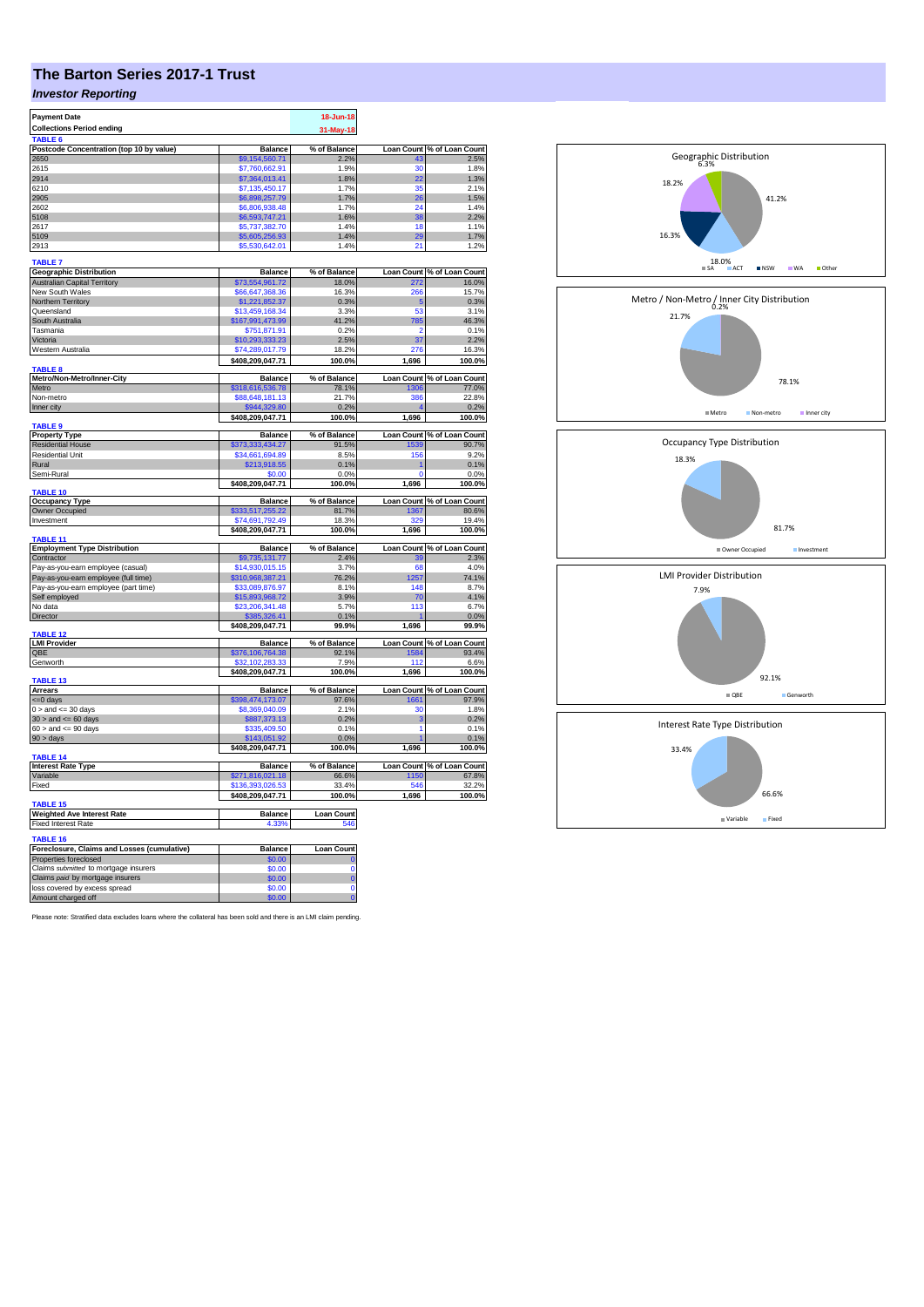## **The Barton Series 2017-1 Trust**

## *Investor Reporting*

| <b>Payment Date</b>                              |                                  | 18-Jun-18            |       |                                    |
|--------------------------------------------------|----------------------------------|----------------------|-------|------------------------------------|
| <b>Collections Period ending</b>                 |                                  |                      |       |                                    |
| TABLE 6                                          |                                  | 31-May-18            |       |                                    |
|                                                  |                                  |                      |       |                                    |
| Postcode Concentration (top 10 by value)<br>2650 | <b>Balance</b><br>\$9.154.560.71 | % of Balance<br>2.2% | 43    | Loan Count % of Loan Count<br>2.5% |
| 2615                                             | \$7,760,662.91                   | 1.9%                 | 30    | 1.8%                               |
| 2914                                             | \$7,364,013.41                   | 1.8%                 | 22    | 1.3%                               |
| 6210                                             | \$7,135,450.17                   | 1.7%                 | 35    | 2.1%                               |
| 2905                                             |                                  | 1.7%                 |       |                                    |
|                                                  | \$6,898,257.79                   |                      | 26    | 1.5%                               |
| 2602                                             | \$6,806,938.48                   | 1.7%                 | 24    | 1.4%                               |
| 5108                                             | \$6,593,747.21                   | 1.6%                 | 38    | 2.2%                               |
| 2617                                             | \$5,737,382.70                   | 1.4%                 | 18    | 1.1%                               |
| 5109                                             | \$5,605,256.93                   | 1.4%                 | 29    | 1.7%                               |
| 2913                                             | \$5,530,642.01                   | 1.4%                 | 21    | 1.2%                               |
| <b>TABLE 7</b>                                   |                                  |                      |       |                                    |
| <b>Geographic Distribution</b>                   | <b>Balance</b>                   | % of Balance         |       | Loan Count % of Loan Count         |
| <b>Australian Capital Territory</b>              | \$73,554,961.72                  | 18.0%                | 272   | 16.0%                              |
| New South Wales                                  | \$66,647,368.36                  | 16.3%                | 266   | 15.7%                              |
|                                                  |                                  |                      |       |                                    |
| Northern Territory                               | \$1,221,852.37                   | 0.3%                 | 5     | 0.3%                               |
| Queensland                                       | \$13,459,168.34                  | 3.3%                 | 53    | 3.1%                               |
| South Australia                                  | \$167,991,473.99                 | 41.2%                | 785   | 46.3%                              |
| Tasmania                                         | \$751,871.91                     | 0.2%                 | ٥     | 0.1%                               |
| Victoria                                         | \$10,293,333.23                  | 2.5%                 | 37    | 2.2%                               |
| Western Australia                                | \$74,289,017.79                  | 18.2%                | 276   | 16.3%                              |
|                                                  | \$408,209,047.71                 | 100.0%               | 1,696 | 100.0%                             |
| TABLE <sub>8</sub>                               |                                  |                      |       |                                    |
| Metro/Non-Metro/Inner-City                       | <b>Balance</b>                   | % of Balance         |       | Loan Count % of Loan Count         |
| Metro                                            | \$318,616,536.78                 | 78.1%                | 1306  | 77.0%                              |
| Non-metro                                        | \$88,648,181.13                  | 21.7%                | 386   | 22.8%                              |
| Inner city                                       | \$944,329.80                     | 0.2%                 |       | 0.2%                               |
|                                                  | \$408,209,047.71                 | 100.0%               | 1,696 | 100.0%                             |
| TABLE 9                                          |                                  |                      |       |                                    |
| <b>Property Type</b>                             | <b>Balance</b>                   | % of Balance         |       | Loan Count % of Loan Count         |
| <b>Residential House</b>                         | \$373,333,434.27                 | 91.5%                | 1539  | 90.7%                              |
| <b>Residential Unit</b>                          | \$34,661,694.89                  | 8.5%                 | 156   | 9.2%                               |
| Rural                                            | \$213,918.55                     | 0.1%                 |       | 0.1%                               |
| Semi-Rural                                       | \$0.00                           | 0.0%                 | O     | 0.0%                               |
|                                                  | \$408,209,047.71                 | 100.0%               | 1,696 | 100.0%                             |
| <b>TABLE 10</b>                                  |                                  |                      |       |                                    |
| <b>Occupancy Type</b>                            | <b>Balance</b>                   | % of Balance         |       | Loan Count % of Loan Count         |
| Owner Occupied                                   | \$333,517,255.22                 | 81.7%                | 1367  | 80.6%                              |
| Investment                                       | \$74,691,792.49                  | 18.3%                | 329   | 19.4%                              |
|                                                  | \$408,209,047.71                 | 100.0%               | 1,696 | 100.0%                             |
| TABLE 11                                         |                                  |                      |       |                                    |
| <b>Employment Type Distribution</b>              | <b>Balance</b>                   | % of Balance         |       | Loan Count % of Loan Count         |
| Contractor                                       | \$9,735,131.77                   | 2.4%                 |       | 2.3%                               |
| Pay-as-you-earn employee (casual)                | \$14,930,015.15                  | 3.7%                 | 68    | 4.0%                               |
| Pay-as-you-earn employee (full time)             | \$310,968,387.21                 | 76.2%                | 1257  | 74.1%                              |
| Pay-as-you-earn employee (part time)             | \$33,089,876.97                  | 8.1%                 | 148   | 8.7%                               |
| Self employed                                    | \$15,893,968.72                  | 3.9%                 | 70    | 4.1%                               |
| No data                                          | \$23,206,341.48                  | 5.7%                 | 113   | 6.7%                               |
| Director                                         | \$385,326.41                     | 0.1%                 |       | 0.0%                               |
|                                                  | \$408,209,047.71                 | 99.9%                | 1,696 | 99.9%                              |
| TARI F 12                                        |                                  |                      |       |                                    |
| <b>LMI Provider</b>                              | <b>Balance</b>                   | % of Balance         |       | Loan Count % of Loan Count         |
| QBE                                              | <mark>\$376,106,764.38</mark>    | 92.1%                | 158   | 93.4%                              |
| Genworth                                         | 32,102,283.33                    | 7.9%                 | 112   | 6.6%                               |
|                                                  | \$408,209,047.71                 | 100.0%               | 1,696 | 100.0%                             |
| <b>TABLE 13</b>                                  |                                  |                      |       |                                    |
| <b>Arrears</b>                                   | <b>Balance</b>                   | % of Balance         |       | Loan Count % of Loan Count         |
| <= 0 days                                        | \$398,474,173.07                 | 97.6%                | 1661  | 97.9%                              |
| $0 >$ and $\lt = 30$ days                        | \$8,369,040.09                   | 2.1%                 | 30    | 1.8%                               |
| $30$ > and <= 60 days                            | \$887,373.13                     | 0.2%                 | 3     | 0.2%                               |
| $60 >$ and $\leq 90$ days                        | \$335,409.50                     | 0.1%                 | 1     | 0.1%                               |
| 90 > days                                        | \$143,051.92                     | 0.0%                 |       | 0.1%                               |
|                                                  | \$408,209,047.71                 | 100.0%               | 1,696 | 100.0%                             |
| TABLE 14                                         |                                  |                      |       |                                    |
| <b>Interest Rate Type</b>                        | <b>Balance</b>                   | % of Balance         |       | Loan Count % of Loan Count         |
| Variable                                         | \$271,816,021.18                 | 66.6%                | 1150  | 67.8%                              |
| Fixed                                            | \$136,393,026.53                 | 33.4%                | 546   | 32.2%                              |
|                                                  | \$408,209,047.71                 | 100.0%               | 1,696 | 100.0%                             |
| TABLE 15                                         |                                  |                      |       |                                    |
| <b>Weighted Ave Interest Rate</b>                | <b>Balance</b>                   | <b>Loan Count</b>    |       |                                    |
| <b>Fixed Interest Rate</b>                       | 4.33%                            | 546                  |       |                                    |
|                                                  |                                  |                      |       |                                    |
| <b>TABLE 16</b>                                  |                                  |                      |       |                                    |
| Foreclosure, Claims and Losses (cumulative)      | Balance                          | Loan Count           |       |                                    |
| Properties foreclosed                            | \$0.00                           |                      |       |                                    |
| Claims submitted to mortgage insurers            | \$0.00                           | Ō                    |       |                                    |
| Claims paid by mortgage insurers                 | \$0.00                           | Ō                    |       |                                    |
| loss covered by excess spread                    | \$0.00                           | Ō                    |       |                                    |
| Amount charged off                               | \$0.00                           | ö                    |       |                                    |

Please note: Stratified data excludes loans where the collateral has been sold and there is an LMI claim pending.